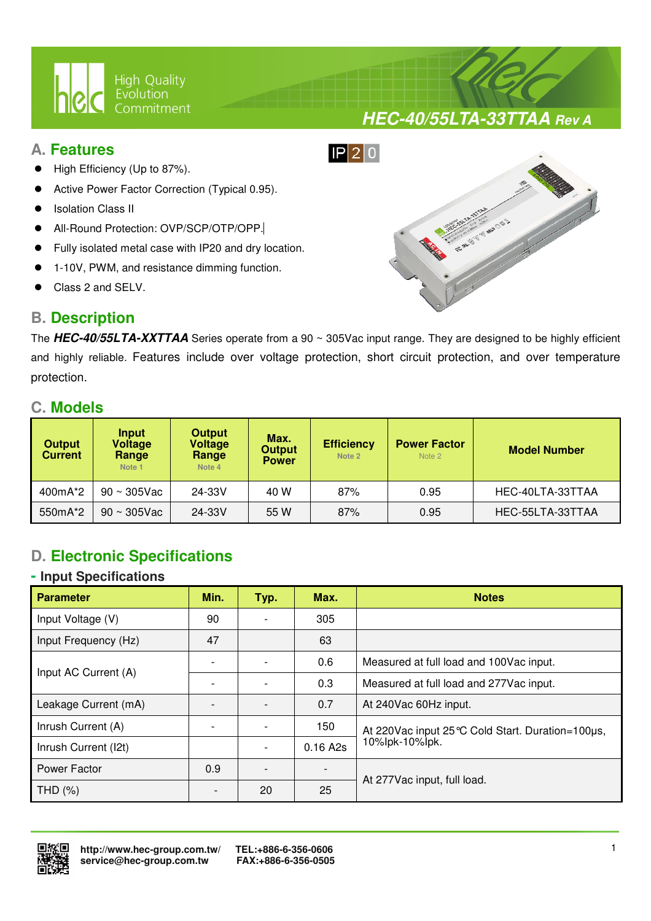

# **A. Features**

- High Efficiency (Up to 87%).
- Active Power Factor Correction (Typical 0.95).
- Isolation Class II
- All-Round Protection: OVP/SCP/OTP/OPP.
- Fully isolated metal case with IP20 and dry location.

 $\overline{a}$ 

- 1-10V, PWM, and resistance dimming function.
- Class 2 and SELV.

# $IP$  20

# **B. Description**

The **HEC-40/55LTA-XXTTAA** Series operate from a 90 ~ 305Vac input range. They are designed to be highly efficient and highly reliable. Features include over voltage protection, short circuit protection, and over temperature protection.

# **C. Models**

| <b>Output</b><br><b>Current</b> | Input<br><b>Voltage</b><br>Range<br>Note 1 | <b>Output</b><br><b>Voltage</b><br>Range<br>Note 4 | Max.<br><b>Output</b><br><b>Power</b> | <b>Efficiency</b><br>Note 2 | <b>Power Factor</b><br>Note 2 | <b>Model Number</b> |
|---------------------------------|--------------------------------------------|----------------------------------------------------|---------------------------------------|-----------------------------|-------------------------------|---------------------|
| 400mA*2                         | $90 \sim 305$ Vac                          | 24-33V                                             | 40 W                                  | 87%                         | 0.95                          | HEC-40LTA-33TTAA    |
| 550mA*2                         | $90 \sim 305$ Vac                          | 24-33V                                             | 55 W                                  | 87%                         | 0.95                          | HEC-55LTA-33TTAA    |

# **D. Electronic Specifications**

#### **- Input Specifications**

| <b>Parameter</b>     | Min. | Typ. | Max.     | <b>Notes</b>                                       |  |
|----------------------|------|------|----------|----------------------------------------------------|--|
| Input Voltage (V)    | 90   |      | 305      |                                                    |  |
| Input Frequency (Hz) | 47   |      | 63       |                                                    |  |
| Input AC Current (A) |      |      | 0.6      | Measured at full load and 100Vac input.            |  |
|                      |      |      | 0.3      | Measured at full load and 277Vac input.            |  |
| Leakage Current (mA) |      |      | 0.7      | At 240Vac 60Hz input.                              |  |
| Inrush Current (A)   |      |      | 150      | At 220 Vac input 25 °C Cold Start. Duration=100µs, |  |
| Inrush Current (I2t) |      |      | 0.16 A2s | 10%lpk-10%lpk.                                     |  |
| Power Factor         | 0.9  |      |          |                                                    |  |
| THD (%)              |      | 20   | 25       | At 277Vac input, full load.                        |  |



# **HEC-40/55LTA-33TTAA Rev A**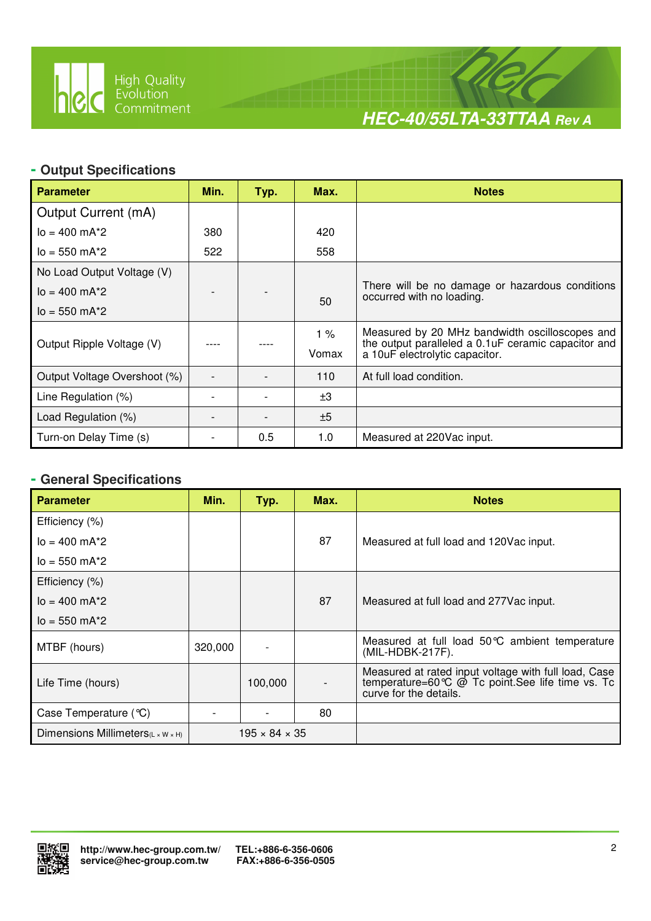

 $\overline{a}$ 



#### **- Output Specifications**

| <b>Parameter</b>             | Min. | Typ. | Max.  | <b>Notes</b>                                                                           |
|------------------------------|------|------|-------|----------------------------------------------------------------------------------------|
| Output Current (mA)          |      |      |       |                                                                                        |
| $I_0 = 400$ mA $*2$          | 380  |      | 420   |                                                                                        |
| $I_0 = 550$ m $A^*2$         | 522  |      | 558   |                                                                                        |
| No Load Output Voltage (V)   |      |      |       |                                                                                        |
| $I_0 = 400$ mA*2             |      |      | 50    | There will be no damage or hazardous conditions<br>occurred with no loading.           |
| $I_0 = 550$ mA*2             |      |      |       |                                                                                        |
|                              |      |      | 1%    | Measured by 20 MHz bandwidth oscilloscopes and                                         |
| Output Ripple Voltage (V)    |      |      | Vomax | the output paralleled a 0.1 uF ceramic capacitor and<br>a 10uF electrolytic capacitor. |
| Output Voltage Overshoot (%) |      |      | 110   | At full load condition.                                                                |
| Line Regulation (%)          |      |      | ±3    |                                                                                        |
| Load Regulation (%)          |      |      | ±5    |                                                                                        |
| Turn-on Delay Time (s)       |      | 0.5  | 1.0   | Measured at 220Vac input.                                                              |

# **- General Specifications**

| <b>Parameter</b>                  | Min.    | Typ.                      | Max. | <b>Notes</b>                                                                                                                                                  |
|-----------------------------------|---------|---------------------------|------|---------------------------------------------------------------------------------------------------------------------------------------------------------------|
| Efficiency (%)                    |         |                           |      |                                                                                                                                                               |
| $I_0 = 400$ mA*2                  |         |                           | 87   | Measured at full load and 120Vac input.                                                                                                                       |
| $I_0 = 550 \text{ mA}^*$ 2        |         |                           |      |                                                                                                                                                               |
| Efficiency (%)                    |         |                           |      |                                                                                                                                                               |
| $I_0 = 400$ mA $*2$               |         |                           | 87   | Measured at full load and 277 Vac input.                                                                                                                      |
| $I_0 = 550$ mA*2                  |         |                           |      |                                                                                                                                                               |
| MTBF (hours)                      | 320,000 |                           |      | Measured at full load 50°C ambient temperature<br>(MIL-HDBK-217F).                                                                                            |
| Life Time (hours)                 |         | 100,000                   |      | Measured at rated input voltage with full load, Case<br>temperature=60 $\degree$ $\degree$ $\degree$ Tc point. See life time vs. Tc<br>curve for the details. |
| Case Temperature $(\mathcal{C})$  |         |                           | 80   |                                                                                                                                                               |
| Dimensions Millimeters(L x W x H) |         | $195 \times 84 \times 35$ |      |                                                                                                                                                               |

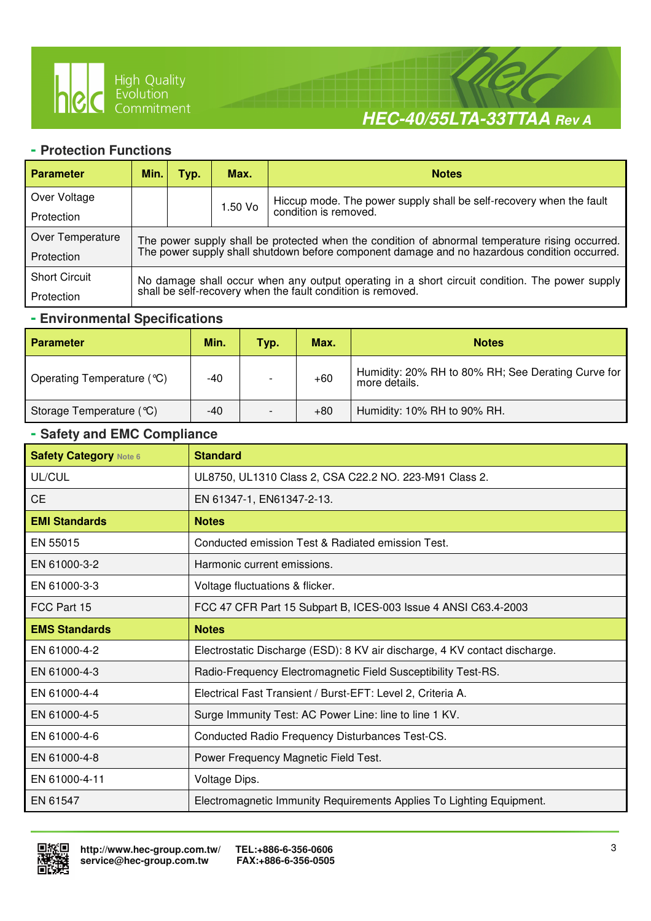

 $\overline{a}$ 



#### **- Protection Functions**

| <b>Parameter</b>     | Min.                                                                                                                                                       | Typ. | Max.                                                                                            | <b>Notes</b>                                                        |  |  |  |
|----------------------|------------------------------------------------------------------------------------------------------------------------------------------------------------|------|-------------------------------------------------------------------------------------------------|---------------------------------------------------------------------|--|--|--|
| Over Voltage         |                                                                                                                                                            |      | 1.50 Vo                                                                                         | Hiccup mode. The power supply shall be self-recovery when the fault |  |  |  |
| Protection           |                                                                                                                                                            |      |                                                                                                 | condition is removed.                                               |  |  |  |
| Over Temperature     |                                                                                                                                                            |      | The power supply shall be protected when the condition of abnormal temperature rising occurred. |                                                                     |  |  |  |
| Protection           | The power supply shall shutdown before component damage and no hazardous condition occurred.                                                               |      |                                                                                                 |                                                                     |  |  |  |
| <b>Short Circuit</b> | No damage shall occur when any output operating in a short circuit condition. The power supply shall be self-recovery when the fault condition is removed. |      |                                                                                                 |                                                                     |  |  |  |
| Protection           |                                                                                                                                                            |      |                                                                                                 |                                                                     |  |  |  |

#### **- Environmental Specifications**

| <b>Parameter</b>           | Min. | Typ.                     | Max.  | <b>Notes</b>                                                        |
|----------------------------|------|--------------------------|-------|---------------------------------------------------------------------|
| Operating Temperature (°C) | -40  | $\overline{\phantom{a}}$ | $+60$ | Humidity: 20% RH to 80% RH; See Derating Curve for<br>more details. |
| Storage Temperature (°C)   | -40  | $\overline{\phantom{a}}$ | $+80$ | Humidity: 10% RH to 90% RH.                                         |

#### **- Safety and EMC Compliance**

| <b>Safety Category Note 6</b> | <b>Standard</b>                                                            |
|-------------------------------|----------------------------------------------------------------------------|
| UL/CUL                        | UL8750, UL1310 Class 2, CSA C22.2 NO. 223-M91 Class 2.                     |
| <b>CE</b>                     | EN 61347-1, EN61347-2-13.                                                  |
| <b>EMI Standards</b>          | <b>Notes</b>                                                               |
| EN 55015                      | Conducted emission Test & Radiated emission Test.                          |
| EN 61000-3-2                  | Harmonic current emissions.                                                |
| EN 61000-3-3                  | Voltage fluctuations & flicker.                                            |
| FCC Part 15                   | FCC 47 CFR Part 15 Subpart B, ICES-003 Issue 4 ANSI C63.4-2003             |
| <b>EMS Standards</b>          | <b>Notes</b>                                                               |
| EN 61000-4-2                  | Electrostatic Discharge (ESD): 8 KV air discharge, 4 KV contact discharge. |
| EN 61000-4-3                  | Radio-Frequency Electromagnetic Field Susceptibility Test-RS.              |
| EN 61000-4-4                  | Electrical Fast Transient / Burst-EFT: Level 2, Criteria A.                |
| EN 61000-4-5                  | Surge Immunity Test: AC Power Line: line to line 1 KV.                     |
| EN 61000-4-6                  | Conducted Radio Frequency Disturbances Test-CS.                            |
| EN 61000-4-8                  | Power Frequency Magnetic Field Test.                                       |
| EN 61000-4-11                 | Voltage Dips.                                                              |
| EN 61547                      | Electromagnetic Immunity Requirements Applies To Lighting Equipment.       |

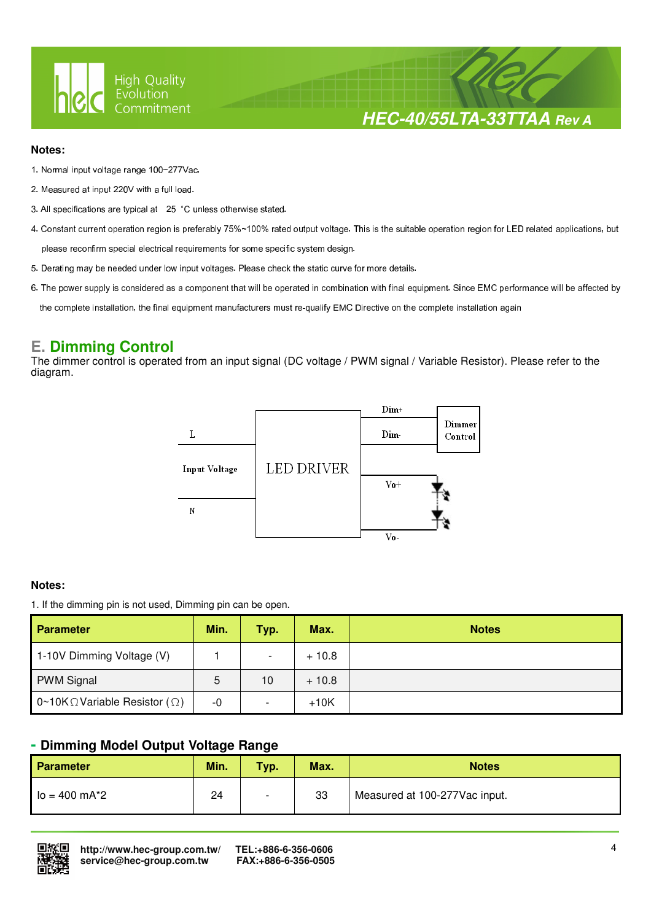

**HEC-40/55LTA-33TTAA Rev A**

#### **Notes:**

- 1. Normal input voltage range 100~277Vac.
- 2. Measured at input 220V with a full load.
- 3. All specifications are typical at 25 °C unless otherwise stated.

 $\overline{a}$ 

- 4. Constant current operation region is preferably 75%~100% rated output voltage. This is the suitable operation region for LED related applications, but please reconfirm special electrical requirements for some specific system design.
- 5. Derating may be needed under low input voltages. Please check the static curve for more details.
- 6. The power supply is considered as a component that will be operated in combination with final equipment. Since EMC performance will be affected by

the complete installation, the final equipment manufacturers must re-qualify EMC Directive on the complete installation again

#### **E. Dimming Control**

The dimmer control is operated from an input signal (DC voltage / PWM signal / Variable Resistor). Please refer to the diagram.



#### **Notes:**

1. If the dimming pin is not used, Dimming pin can be open.

| <b>Parameter</b>                              | Min. | Typ.                     | Max.    | <b>Notes</b> |
|-----------------------------------------------|------|--------------------------|---------|--------------|
| 1-10V Dimming Voltage (V)                     |      | $\overline{\phantom{a}}$ | $+10.8$ |              |
| <b>PWM Signal</b>                             | 5    | 10                       | $+10.8$ |              |
| 0~10K $\Omega$ Variable Resistor ( $\Omega$ ) | -0   | $\overline{\phantom{0}}$ | $+10K$  |              |

#### **- Dimming Model Output Voltage Range**

| Parameter       | Min. | Typ.                     | Max. | <b>Notes</b>                  |
|-----------------|------|--------------------------|------|-------------------------------|
| $lo = 400 mA*2$ | 24   | $\overline{\phantom{0}}$ | 33   | Measured at 100-277Vac input. |

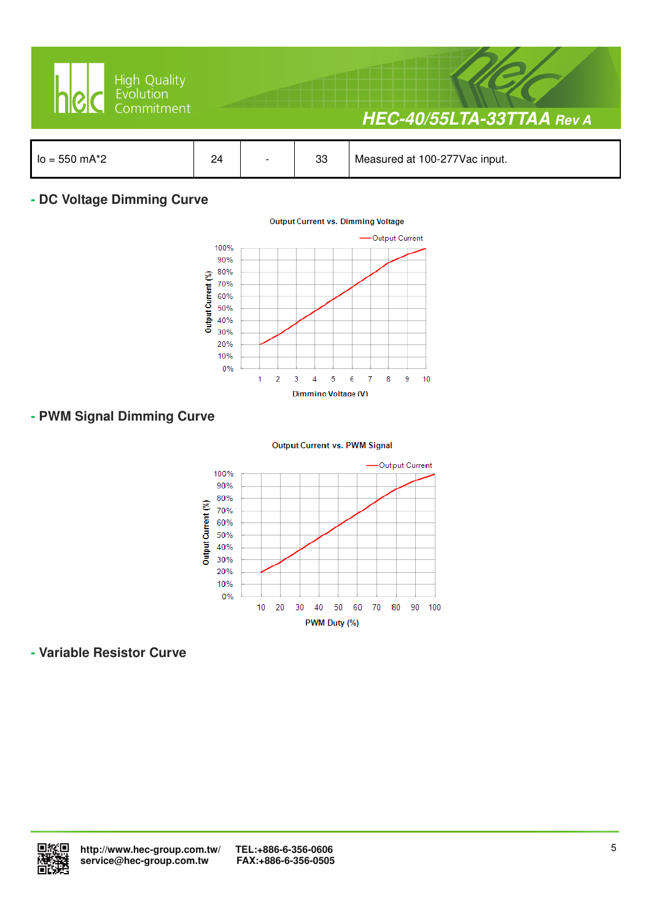

#### **- DC Voltage Dimming Curve**



#### **- PWM Signal Dimming Curve**

**Output Current vs. PWM Signal** 



#### **- Variable Resistor Curve**

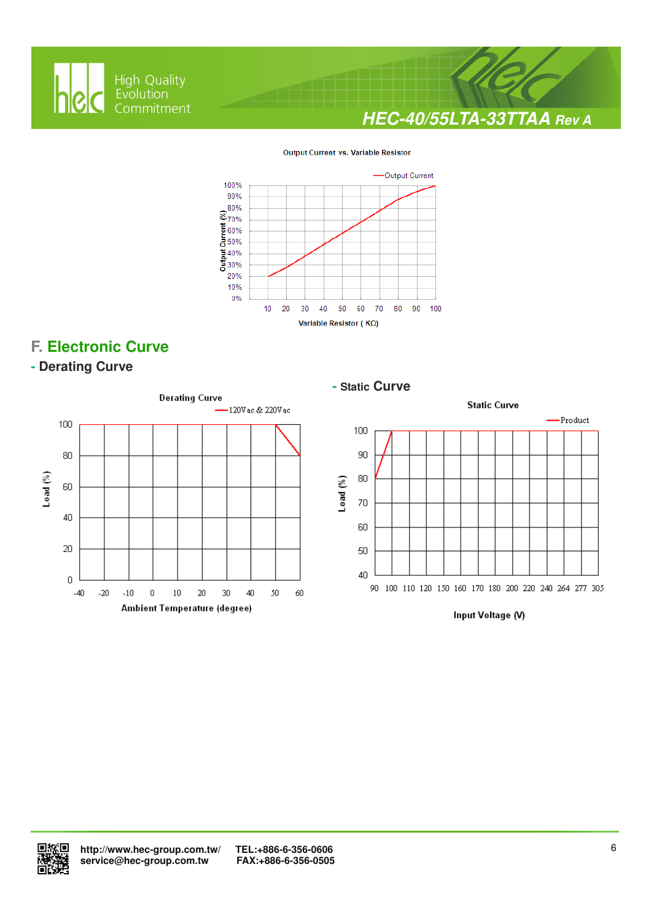

 $\overline{a}$ 







# **F. Electronic Curve**

#### **- Derating Curve**



#### **- Static Curve**



Input Voltage (V)

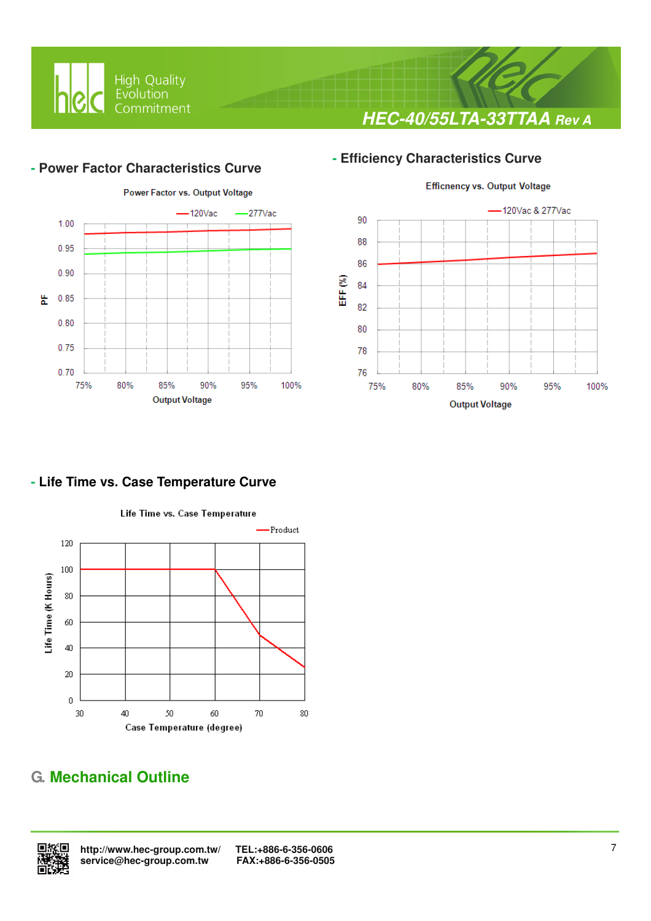

# **- Efficiency Characteristics Curve**

#### **- Power Factor Characteristics Curve**

 $\overline{a}$ 





**HEC-40/55LTA-33TTAA Rev A**

# **- Life Time vs. Case Temperature Curve**



# **G. Mechanical Outline**